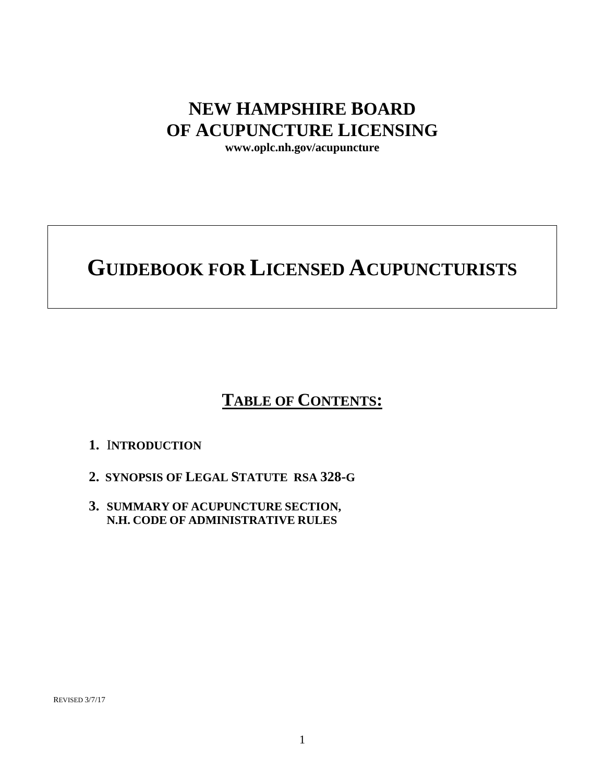## **NEW HAMPSHIRE BOARD OF ACUPUNCTURE LICENSING**

**www.oplc.nh.gov/acupuncture**

# **GUIDEBOOK FOR LICENSED ACUPUNCTURISTS**

## **TABLE OF CONTENTS:**

## **1.** I**NTRODUCTION**

- **2. SYNOPSIS OF LEGAL STATUTE RSA 328-G**
- **3. SUMMARY OF ACUPUNCTURE SECTION, N.H. CODE OF ADMINISTRATIVE RULES**

REVISED 3/7/17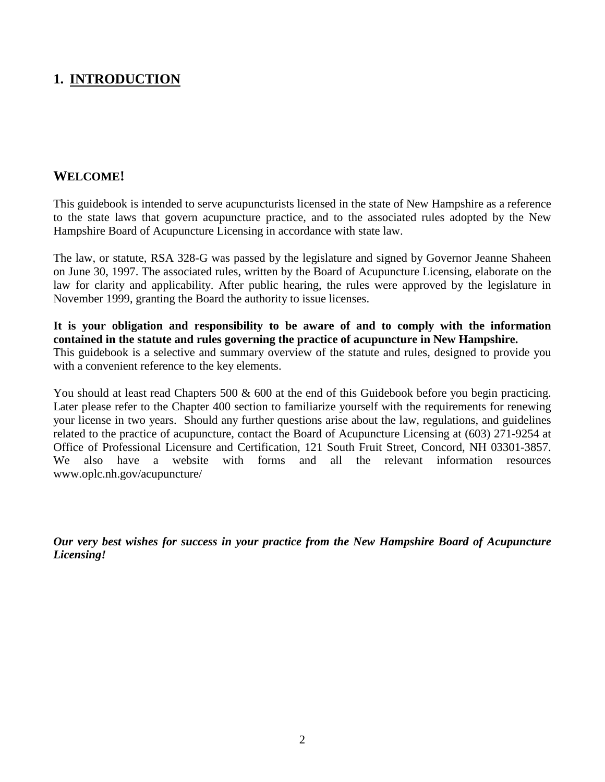## **1. INTRODUCTION**

## **WELCOME!**

This guidebook is intended to serve acupuncturists licensed in the state of New Hampshire as a reference to the state laws that govern acupuncture practice, and to the associated rules adopted by the New Hampshire Board of Acupuncture Licensing in accordance with state law.

The law, or statute, RSA 328-G was passed by the legislature and signed by Governor Jeanne Shaheen on June 30, 1997. The associated rules, written by the Board of Acupuncture Licensing, elaborate on the law for clarity and applicability. After public hearing, the rules were approved by the legislature in November 1999, granting the Board the authority to issue licenses.

**It is your obligation and responsibility to be aware of and to comply with the information contained in the statute and rules governing the practice of acupuncture in New Hampshire.**  This guidebook is a selective and summary overview of the statute and rules, designed to provide you with a convenient reference to the key elements.

You should at least read Chapters 500 & 600 at the end of this Guidebook before you begin practicing. Later please refer to the Chapter 400 section to familiarize yourself with the requirements for renewing your license in two years. Should any further questions arise about the law, regulations, and guidelines related to the practice of acupuncture, contact the Board of Acupuncture Licensing at (603) 271-9254 at Office of Professional Licensure and Certification, 121 South Fruit Street, Concord, NH 03301-3857. We also have a website with forms and all the relevant information resources www.oplc.nh.gov/acupuncture/

*Our very best wishes for success in your practice from the New Hampshire Board of Acupuncture Licensing!*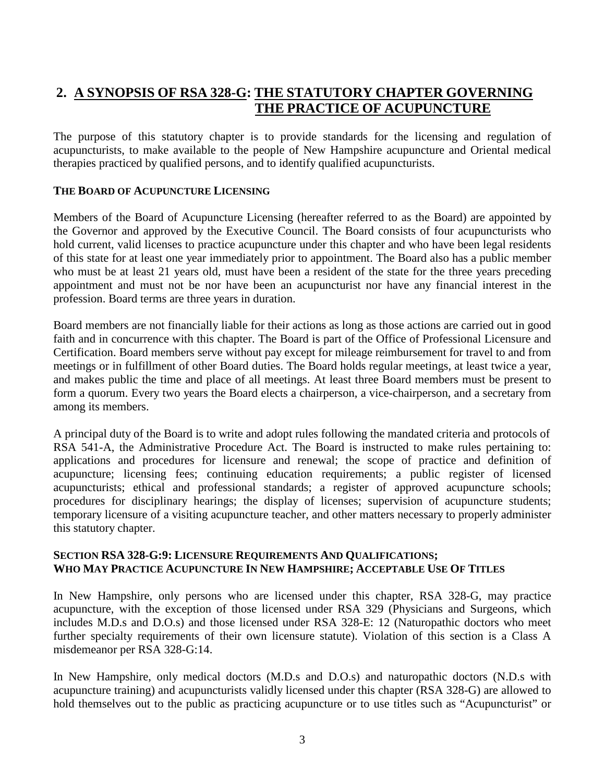## **2. A SYNOPSIS OF RSA 328-G: THE STATUTORY CHAPTER GOVERNING THE PRACTICE OF ACUPUNCTURE**

The purpose of this statutory chapter is to provide standards for the licensing and regulation of acupuncturists, to make available to the people of New Hampshire acupuncture and Oriental medical therapies practiced by qualified persons, and to identify qualified acupuncturists.

#### **THE BOARD OF ACUPUNCTURE LICENSING**

Members of the Board of Acupuncture Licensing (hereafter referred to as the Board) are appointed by the Governor and approved by the Executive Council. The Board consists of four acupuncturists who hold current, valid licenses to practice acupuncture under this chapter and who have been legal residents of this state for at least one year immediately prior to appointment. The Board also has a public member who must be at least 21 years old, must have been a resident of the state for the three years preceding appointment and must not be nor have been an acupuncturist nor have any financial interest in the profession. Board terms are three years in duration.

Board members are not financially liable for their actions as long as those actions are carried out in good faith and in concurrence with this chapter. The Board is part of the Office of Professional Licensure and Certification. Board members serve without pay except for mileage reimbursement for travel to and from meetings or in fulfillment of other Board duties. The Board holds regular meetings, at least twice a year, and makes public the time and place of all meetings. At least three Board members must be present to form a quorum. Every two years the Board elects a chairperson, a vice-chairperson, and a secretary from among its members.

A principal duty of the Board is to write and adopt rules following the mandated criteria and protocols of RSA 541-A, the Administrative Procedure Act. The Board is instructed to make rules pertaining to: applications and procedures for licensure and renewal; the scope of practice and definition of acupuncture; licensing fees; continuing education requirements; a public register of licensed acupuncturists; ethical and professional standards; a register of approved acupuncture schools; procedures for disciplinary hearings; the display of licenses; supervision of acupuncture students; temporary licensure of a visiting acupuncture teacher, and other matters necessary to properly administer this statutory chapter.

#### **SECTION RSA 328-G:9: LICENSURE REQUIREMENTS AND QUALIFICATIONS; WHO MAY PRACTICE ACUPUNCTURE IN NEW HAMPSHIRE; ACCEPTABLE USE OF TITLES**

In New Hampshire, only persons who are licensed under this chapter, RSA 328-G, may practice acupuncture, with the exception of those licensed under RSA 329 (Physicians and Surgeons, which includes M.D.s and D.O.s) and those licensed under RSA 328-E: 12 (Naturopathic doctors who meet further specialty requirements of their own licensure statute). Violation of this section is a Class A misdemeanor per RSA 328-G:14.

In New Hampshire, only medical doctors (M.D.s and D.O.s) and naturopathic doctors (N.D.s with acupuncture training) and acupuncturists validly licensed under this chapter (RSA 328-G) are allowed to hold themselves out to the public as practicing acupuncture or to use titles such as "Acupuncturist" or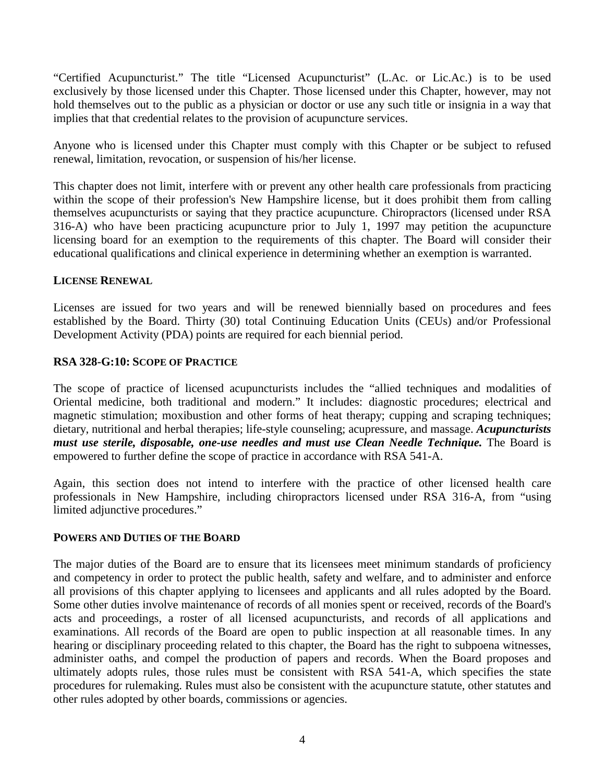"Certified Acupuncturist." The title "Licensed Acupuncturist" (L.Ac. or Lic.Ac.) is to be used exclusively by those licensed under this Chapter. Those licensed under this Chapter, however, may not hold themselves out to the public as a physician or doctor or use any such title or insignia in a way that implies that that credential relates to the provision of acupuncture services.

Anyone who is licensed under this Chapter must comply with this Chapter or be subject to refused renewal, limitation, revocation, or suspension of his/her license.

This chapter does not limit, interfere with or prevent any other health care professionals from practicing within the scope of their profession's New Hampshire license, but it does prohibit them from calling themselves acupuncturists or saying that they practice acupuncture. Chiropractors (licensed under RSA 316-A) who have been practicing acupuncture prior to July 1, 1997 may petition the acupuncture licensing board for an exemption to the requirements of this chapter. The Board will consider their educational qualifications and clinical experience in determining whether an exemption is warranted.

#### **LICENSE RENEWAL**

Licenses are issued for two years and will be renewed biennially based on procedures and fees established by the Board. Thirty (30) total Continuing Education Units (CEUs) and/or Professional Development Activity (PDA) points are required for each biennial period.

#### **RSA 328-G:10: SCOPE OF PRACTICE**

The scope of practice of licensed acupuncturists includes the "allied techniques and modalities of Oriental medicine, both traditional and modern." It includes: diagnostic procedures; electrical and magnetic stimulation; moxibustion and other forms of heat therapy; cupping and scraping techniques; dietary, nutritional and herbal therapies; life-style counseling; acupressure, and massage. *Acupuncturists must use sterile, disposable, one-use needles and must use Clean Needle Technique.* The Board is empowered to further define the scope of practice in accordance with RSA 541-A.

Again, this section does not intend to interfere with the practice of other licensed health care professionals in New Hampshire, including chiropractors licensed under RSA 316-A, from "using limited adjunctive procedures."

#### **POWERS AND DUTIES OF THE BOARD**

The major duties of the Board are to ensure that its licensees meet minimum standards of proficiency and competency in order to protect the public health, safety and welfare, and to administer and enforce all provisions of this chapter applying to licensees and applicants and all rules adopted by the Board. Some other duties involve maintenance of records of all monies spent or received, records of the Board's acts and proceedings, a roster of all licensed acupuncturists, and records of all applications and examinations. All records of the Board are open to public inspection at all reasonable times. In any hearing or disciplinary proceeding related to this chapter, the Board has the right to subpoena witnesses, administer oaths, and compel the production of papers and records. When the Board proposes and ultimately adopts rules, those rules must be consistent with RSA 541-A, which specifies the state procedures for rulemaking. Rules must also be consistent with the acupuncture statute, other statutes and other rules adopted by other boards, commissions or agencies.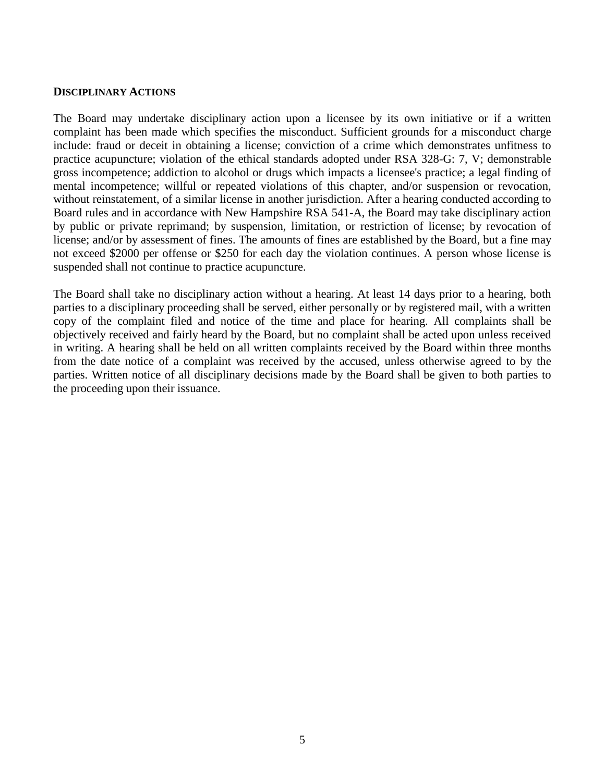#### **DISCIPLINARY ACTIONS**

The Board may undertake disciplinary action upon a licensee by its own initiative or if a written complaint has been made which specifies the misconduct. Sufficient grounds for a misconduct charge include: fraud or deceit in obtaining a license; conviction of a crime which demonstrates unfitness to practice acupuncture; violation of the ethical standards adopted under RSA 328-G: 7, V; demonstrable gross incompetence; addiction to alcohol or drugs which impacts a licensee's practice; a legal finding of mental incompetence; willful or repeated violations of this chapter, and/or suspension or revocation, without reinstatement, of a similar license in another jurisdiction. After a hearing conducted according to Board rules and in accordance with New Hampshire RSA 541-A, the Board may take disciplinary action by public or private reprimand; by suspension, limitation, or restriction of license; by revocation of license; and/or by assessment of fines. The amounts of fines are established by the Board, but a fine may not exceed \$2000 per offense or \$250 for each day the violation continues. A person whose license is suspended shall not continue to practice acupuncture.

The Board shall take no disciplinary action without a hearing. At least 14 days prior to a hearing, both parties to a disciplinary proceeding shall be served, either personally or by registered mail, with a written copy of the complaint filed and notice of the time and place for hearing. All complaints shall be objectively received and fairly heard by the Board, but no complaint shall be acted upon unless received in writing. A hearing shall be held on all written complaints received by the Board within three months from the date notice of a complaint was received by the accused, unless otherwise agreed to by the parties. Written notice of all disciplinary decisions made by the Board shall be given to both parties to the proceeding upon their issuance.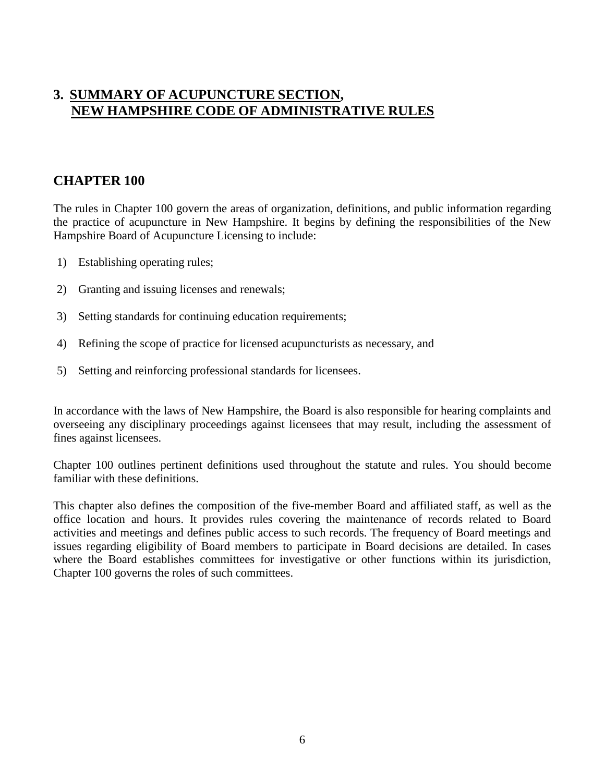## **3. SUMMARY OF ACUPUNCTURE SECTION, NEW HAMPSHIRE CODE OF ADMINISTRATIVE RULES**

## **CHAPTER 100**

The rules in Chapter 100 govern the areas of organization, definitions, and public information regarding the practice of acupuncture in New Hampshire. It begins by defining the responsibilities of the New Hampshire Board of Acupuncture Licensing to include:

- 1) Establishing operating rules;
- 2) Granting and issuing licenses and renewals;
- 3) Setting standards for continuing education requirements;
- 4) Refining the scope of practice for licensed acupuncturists as necessary, and
- 5) Setting and reinforcing professional standards for licensees.

In accordance with the laws of New Hampshire, the Board is also responsible for hearing complaints and overseeing any disciplinary proceedings against licensees that may result, including the assessment of fines against licensees.

Chapter 100 outlines pertinent definitions used throughout the statute and rules. You should become familiar with these definitions.

This chapter also defines the composition of the five-member Board and affiliated staff, as well as the office location and hours. It provides rules covering the maintenance of records related to Board activities and meetings and defines public access to such records. The frequency of Board meetings and issues regarding eligibility of Board members to participate in Board decisions are detailed. In cases where the Board establishes committees for investigative or other functions within its jurisdiction, Chapter 100 governs the roles of such committees.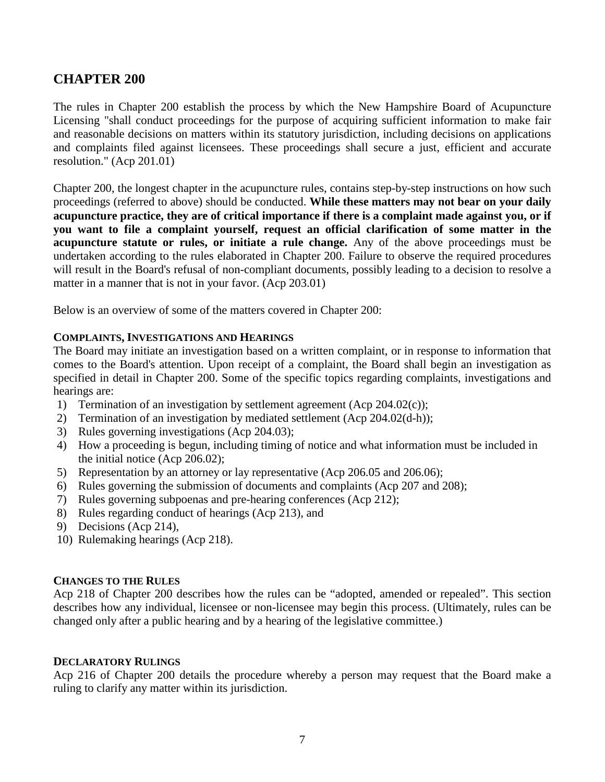## **CHAPTER 200**

The rules in Chapter 200 establish the process by which the New Hampshire Board of Acupuncture Licensing "shall conduct proceedings for the purpose of acquiring sufficient information to make fair and reasonable decisions on matters within its statutory jurisdiction, including decisions on applications and complaints filed against licensees. These proceedings shall secure a just, efficient and accurate resolution." (Acp 201.01)

Chapter 200, the longest chapter in the acupuncture rules, contains step-by-step instructions on how such proceedings (referred to above) should be conducted. **While these matters may not bear on your daily acupuncture practice, they are of critical importance if there is a complaint made against you, or if you want to file a complaint yourself, request an official clarification of some matter in the acupuncture statute or rules, or initiate a rule change.** Any of the above proceedings must be undertaken according to the rules elaborated in Chapter 200. Failure to observe the required procedures will result in the Board's refusal of non-compliant documents, possibly leading to a decision to resolve a matter in a manner that is not in your favor. (Acp 203.01)

Below is an overview of some of the matters covered in Chapter 200:

#### **COMPLAINTS, INVESTIGATIONS AND HEARINGS**

The Board may initiate an investigation based on a written complaint, or in response to information that comes to the Board's attention. Upon receipt of a complaint, the Board shall begin an investigation as specified in detail in Chapter 200. Some of the specific topics regarding complaints, investigations and hearings are:

- 1) Termination of an investigation by settlement agreement (Acp 204.02(c));
- 2) Termination of an investigation by mediated settlement (Acp 204.02(d-h));
- 3) Rules governing investigations (Acp 204.03);
- 4) How a proceeding is begun, including timing of notice and what information must be included in the initial notice (Acp 206.02);
- 5) Representation by an attorney or lay representative (Acp 206.05 and 206.06);
- 6) Rules governing the submission of documents and complaints (Acp 207 and 208);
- 7) Rules governing subpoenas and pre-hearing conferences (Acp 212);
- 8) Rules regarding conduct of hearings (Acp 213), and
- 9) Decisions (Acp 214),
- 10) Rulemaking hearings (Acp 218).

#### **CHANGES TO THE RULES**

Acp 218 of Chapter 200 describes how the rules can be "adopted, amended or repealed". This section describes how any individual, licensee or non-licensee may begin this process. (Ultimately, rules can be changed only after a public hearing and by a hearing of the legislative committee.)

#### **DECLARATORY RULINGS**

Acp 216 of Chapter 200 details the procedure whereby a person may request that the Board make a ruling to clarify any matter within its jurisdiction.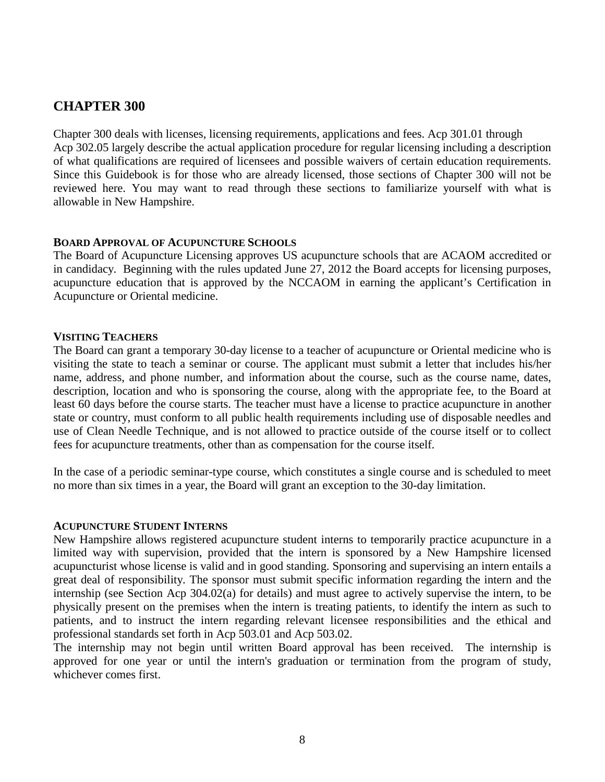## **CHAPTER 300**

Chapter 300 deals with licenses, licensing requirements, applications and fees. Acp 301.01 through Acp 302.05 largely describe the actual application procedure for regular licensing including a description of what qualifications are required of licensees and possible waivers of certain education requirements. Since this Guidebook is for those who are already licensed, those sections of Chapter 300 will not be reviewed here. You may want to read through these sections to familiarize yourself with what is allowable in New Hampshire.

#### **BOARD APPROVAL OF ACUPUNCTURE SCHOOLS**

The Board of Acupuncture Licensing approves US acupuncture schools that are ACAOM accredited or in candidacy. Beginning with the rules updated June 27, 2012 the Board accepts for licensing purposes, acupuncture education that is approved by the NCCAOM in earning the applicant's Certification in Acupuncture or Oriental medicine.

#### **VISITING TEACHERS**

The Board can grant a temporary 30-day license to a teacher of acupuncture or Oriental medicine who is visiting the state to teach a seminar or course. The applicant must submit a letter that includes his/her name, address, and phone number, and information about the course, such as the course name, dates, description, location and who is sponsoring the course, along with the appropriate fee, to the Board at least 60 days before the course starts. The teacher must have a license to practice acupuncture in another state or country, must conform to all public health requirements including use of disposable needles and use of Clean Needle Technique, and is not allowed to practice outside of the course itself or to collect fees for acupuncture treatments, other than as compensation for the course itself.

In the case of a periodic seminar-type course, which constitutes a single course and is scheduled to meet no more than six times in a year, the Board will grant an exception to the 30-day limitation.

#### **ACUPUNCTURE STUDENT INTERNS**

New Hampshire allows registered acupuncture student interns to temporarily practice acupuncture in a limited way with supervision, provided that the intern is sponsored by a New Hampshire licensed acupuncturist whose license is valid and in good standing. Sponsoring and supervising an intern entails a great deal of responsibility. The sponsor must submit specific information regarding the intern and the internship (see Section Acp 304.02(a) for details) and must agree to actively supervise the intern, to be physically present on the premises when the intern is treating patients, to identify the intern as such to patients, and to instruct the intern regarding relevant licensee responsibilities and the ethical and professional standards set forth in Acp 503.01 and Acp 503.02.

The internship may not begin until written Board approval has been received. The internship is approved for one year or until the intern's graduation or termination from the program of study, whichever comes first.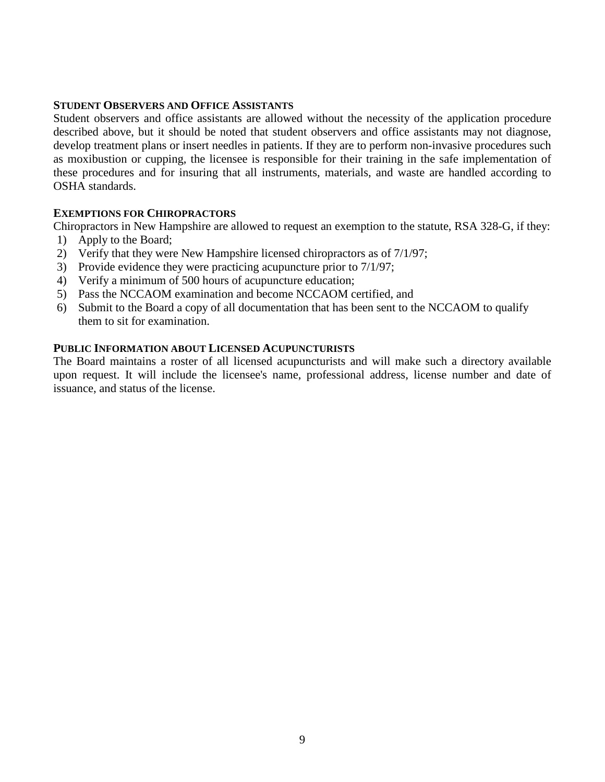#### **STUDENT OBSERVERS AND OFFICE ASSISTANTS**

Student observers and office assistants are allowed without the necessity of the application procedure described above, but it should be noted that student observers and office assistants may not diagnose, develop treatment plans or insert needles in patients. If they are to perform non-invasive procedures such as moxibustion or cupping, the licensee is responsible for their training in the safe implementation of these procedures and for insuring that all instruments, materials, and waste are handled according to OSHA standards.

#### **EXEMPTIONS FOR CHIROPRACTORS**

Chiropractors in New Hampshire are allowed to request an exemption to the statute, RSA 328-G, if they:

- 1) Apply to the Board;
- 2) Verify that they were New Hampshire licensed chiropractors as of 7/1/97;
- 3) Provide evidence they were practicing acupuncture prior to 7/1/97;
- 4) Verify a minimum of 500 hours of acupuncture education;
- 5) Pass the NCCAOM examination and become NCCAOM certified, and
- 6) Submit to the Board a copy of all documentation that has been sent to the NCCAOM to qualify them to sit for examination.

#### **PUBLIC INFORMATION ABOUT LICENSED ACUPUNCTURISTS**

The Board maintains a roster of all licensed acupuncturists and will make such a directory available upon request. It will include the licensee's name, professional address, license number and date of issuance, and status of the license.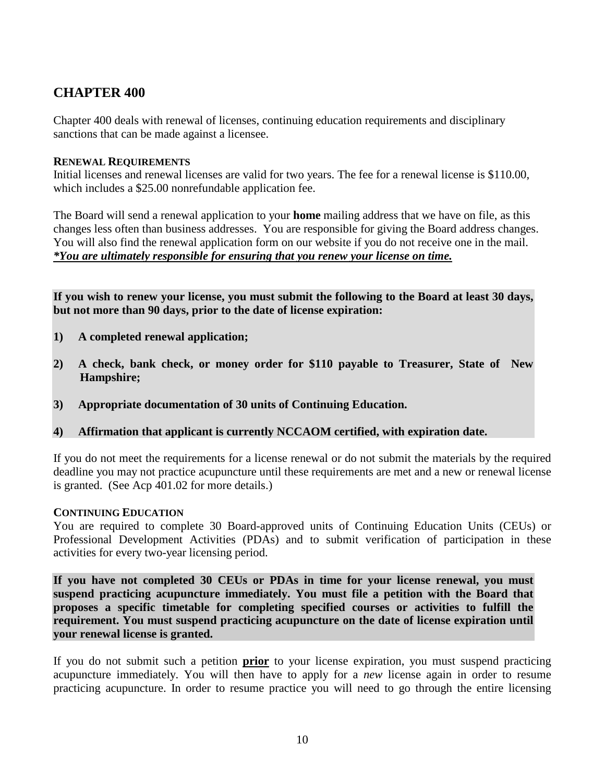## **CHAPTER 400**

Chapter 400 deals with renewal of licenses, continuing education requirements and disciplinary sanctions that can be made against a licensee.

#### **RENEWAL REQUIREMENTS**

Initial licenses and renewal licenses are valid for two years. The fee for a renewal license is \$110.00, which includes a \$25.00 nonrefundable application fee.

The Board will send a renewal application to your **home** mailing address that we have on file, as this changes less often than business addresses. You are responsible for giving the Board address changes. You will also find the renewal application form on our website if you do not receive one in the mail. *\*You are ultimately responsible for ensuring that you renew your license on time.* 

**If you wish to renew your license, you must submit the following to the Board at least 30 days, but not more than 90 days, prior to the date of license expiration:**

- **1) A completed renewal application;**
- **2) A check, bank check, or money order for \$110 payable to Treasurer, State of New Hampshire;**
- **3) Appropriate documentation of 30 units of Continuing Education.**
- **4) Affirmation that applicant is currently NCCAOM certified, with expiration date.**

If you do not meet the requirements for a license renewal or do not submit the materials by the required deadline you may not practice acupuncture until these requirements are met and a new or renewal license is granted. (See Acp 401.02 for more details.)

#### **CONTINUING EDUCATION**

You are required to complete 30 Board-approved units of Continuing Education Units (CEUs) or Professional Development Activities (PDAs) and to submit verification of participation in these activities for every two-year licensing period.

**If you have not completed 30 CEUs or PDAs in time for your license renewal, you must suspend practicing acupuncture immediately. You must file a petition with the Board that proposes a specific timetable for completing specified courses or activities to fulfill the requirement. You must suspend practicing acupuncture on the date of license expiration until your renewal license is granted.** 

If you do not submit such a petition **prior** to your license expiration, you must suspend practicing acupuncture immediately. You will then have to apply for a *new* license again in order to resume practicing acupuncture. In order to resume practice you will need to go through the entire licensing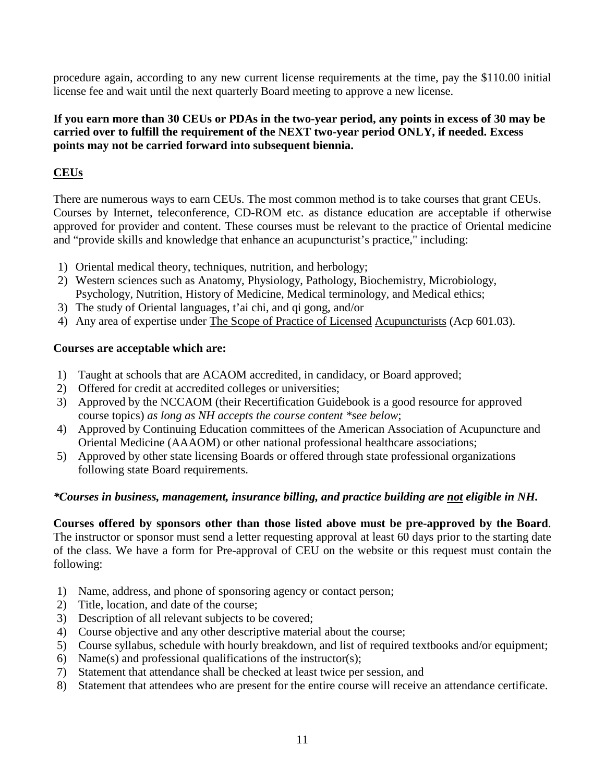procedure again, according to any new current license requirements at the time, pay the \$110.00 initial license fee and wait until the next quarterly Board meeting to approve a new license.

## **If you earn more than 30 CEUs or PDAs in the two-year period, any points in excess of 30 may be carried over to fulfill the requirement of the NEXT two-year period ONLY, if needed. Excess points may not be carried forward into subsequent biennia.**

## **CEUs**

There are numerous ways to earn CEUs. The most common method is to take courses that grant CEUs. Courses by Internet, teleconference, CD-ROM etc. as distance education are acceptable if otherwise approved for provider and content. These courses must be relevant to the practice of Oriental medicine and "provide skills and knowledge that enhance an acupuncturist's practice," including:

- 1) Oriental medical theory, techniques, nutrition, and herbology;
- 2) Western sciences such as Anatomy, Physiology, Pathology, Biochemistry, Microbiology, Psychology, Nutrition, History of Medicine, Medical terminology, and Medical ethics;
- 3) The study of Oriental languages, t'ai chi, and qi gong, and/or
- 4) Any area of expertise under The Scope of Practice of Licensed Acupuncturists (Acp 601.03).

## **Courses are acceptable which are:**

- 1) Taught at schools that are ACAOM accredited, in candidacy, or Board approved;
- 2) Offered for credit at accredited colleges or universities;
- 3) Approved by the NCCAOM (their Recertification Guidebook is a good resource for approved course topics) *as long as NH accepts the course content \*see below*;
- 4) Approved by Continuing Education committees of the American Association of Acupuncture and Oriental Medicine (AAAOM) or other national professional healthcare associations;
- 5) Approved by other state licensing Boards or offered through state professional organizations following state Board requirements.

## *\*Courses in business, management, insurance billing, and practice building are not eligible in NH.*

**Courses offered by sponsors other than those listed above must be pre-approved by the Board**. The instructor or sponsor must send a letter requesting approval at least 60 days prior to the starting date of the class. We have a form for Pre-approval of CEU on the website or this request must contain the following:

- 1) Name, address, and phone of sponsoring agency or contact person;
- 2) Title, location, and date of the course;
- 3) Description of all relevant subjects to be covered;
- 4) Course objective and any other descriptive material about the course;
- 5) Course syllabus, schedule with hourly breakdown, and list of required textbooks and/or equipment;
- 6) Name(s) and professional qualifications of the instructor(s);
- 7) Statement that attendance shall be checked at least twice per session, and
- 8) Statement that attendees who are present for the entire course will receive an attendance certificate.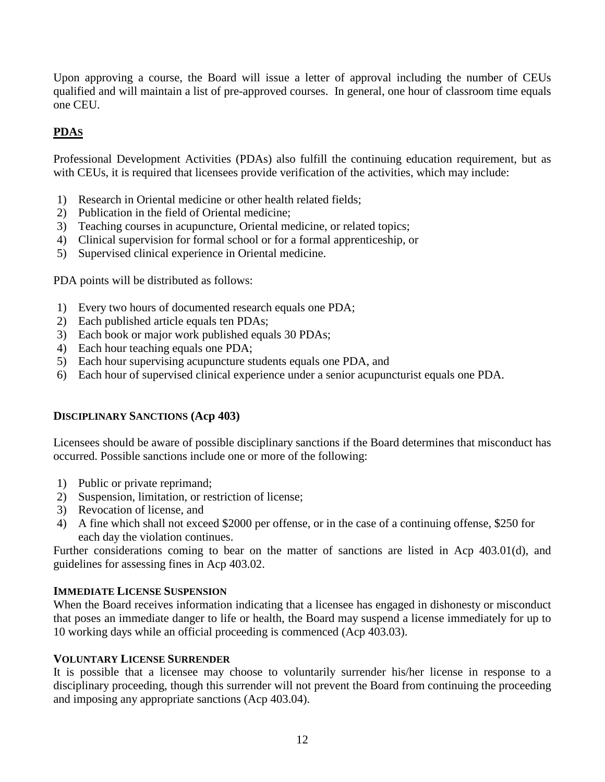Upon approving a course, the Board will issue a letter of approval including the number of CEUs qualified and will maintain a list of pre-approved courses. In general, one hour of classroom time equals one CEU.

## **PDAS**

Professional Development Activities (PDAs) also fulfill the continuing education requirement, but as with CEUs, it is required that licensees provide verification of the activities, which may include:

- 1) Research in Oriental medicine or other health related fields;
- 2) Publication in the field of Oriental medicine;
- 3) Teaching courses in acupuncture, Oriental medicine, or related topics;
- 4) Clinical supervision for formal school or for a formal apprenticeship, or
- 5) Supervised clinical experience in Oriental medicine.

PDA points will be distributed as follows:

- 1) Every two hours of documented research equals one PDA;
- 2) Each published article equals ten PDAs;
- 3) Each book or major work published equals 30 PDAs;
- 4) Each hour teaching equals one PDA;
- 5) Each hour supervising acupuncture students equals one PDA, and
- 6) Each hour of supervised clinical experience under a senior acupuncturist equals one PDA.

## **DISCIPLINARY SANCTIONS (Acp 403)**

Licensees should be aware of possible disciplinary sanctions if the Board determines that misconduct has occurred. Possible sanctions include one or more of the following:

- 1) Public or private reprimand;
- 2) Suspension, limitation, or restriction of license;
- 3) Revocation of license, and
- 4) A fine which shall not exceed \$2000 per offense, or in the case of a continuing offense, \$250 for each day the violation continues.

Further considerations coming to bear on the matter of sanctions are listed in Acp 403.01(d), and guidelines for assessing fines in Acp 403.02.

## **IMMEDIATE LICENSE SUSPENSION**

When the Board receives information indicating that a licensee has engaged in dishonesty or misconduct that poses an immediate danger to life or health, the Board may suspend a license immediately for up to 10 working days while an official proceeding is commenced (Acp 403.03).

## **VOLUNTARY LICENSE SURRENDER**

It is possible that a licensee may choose to voluntarily surrender his/her license in response to a disciplinary proceeding, though this surrender will not prevent the Board from continuing the proceeding and imposing any appropriate sanctions (Acp 403.04).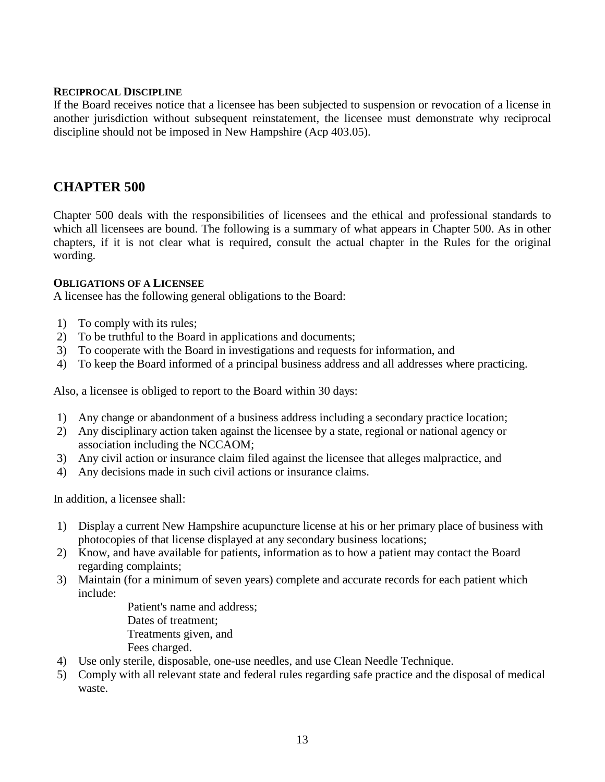#### **RECIPROCAL DISCIPLINE**

If the Board receives notice that a licensee has been subjected to suspension or revocation of a license in another jurisdiction without subsequent reinstatement, the licensee must demonstrate why reciprocal discipline should not be imposed in New Hampshire (Acp 403.05).

## **CHAPTER 500**

Chapter 500 deals with the responsibilities of licensees and the ethical and professional standards to which all licensees are bound. The following is a summary of what appears in Chapter 500. As in other chapters, if it is not clear what is required, consult the actual chapter in the Rules for the original wording.

#### **OBLIGATIONS OF A LICENSEE**

A licensee has the following general obligations to the Board:

- 1) To comply with its rules;
- 2) To be truthful to the Board in applications and documents;
- 3) To cooperate with the Board in investigations and requests for information, and
- 4) To keep the Board informed of a principal business address and all addresses where practicing.

Also, a licensee is obliged to report to the Board within 30 days:

- 1) Any change or abandonment of a business address including a secondary practice location;
- 2) Any disciplinary action taken against the licensee by a state, regional or national agency or association including the NCCAOM;
- 3) Any civil action or insurance claim filed against the licensee that alleges malpractice, and
- 4) Any decisions made in such civil actions or insurance claims.

In addition, a licensee shall:

- 1) Display a current New Hampshire acupuncture license at his or her primary place of business with photocopies of that license displayed at any secondary business locations;
- 2) Know, and have available for patients, information as to how a patient may contact the Board regarding complaints;
- 3) Maintain (for a minimum of seven years) complete and accurate records for each patient which include:

 Patient's name and address; Dates of treatment; Treatments given, and Fees charged.

- 4) Use only sterile, disposable, one-use needles, and use Clean Needle Technique.
- 5) Comply with all relevant state and federal rules regarding safe practice and the disposal of medical waste.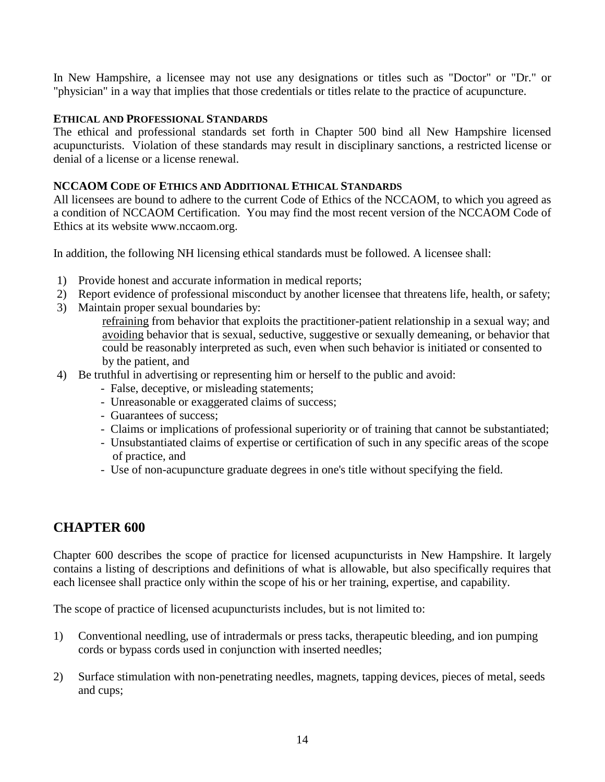In New Hampshire, a licensee may not use any designations or titles such as "Doctor" or "Dr." or "physician" in a way that implies that those credentials or titles relate to the practice of acupuncture.

#### **ETHICAL AND PROFESSIONAL STANDARDS**

The ethical and professional standards set forth in Chapter 500 bind all New Hampshire licensed acupuncturists. Violation of these standards may result in disciplinary sanctions, a restricted license or denial of a license or a license renewal.

## **NCCAOM CODE OF ETHICS AND ADDITIONAL ETHICAL STANDARDS**

All licensees are bound to adhere to the current Code of Ethics of the NCCAOM, to which you agreed as a condition of NCCAOM Certification. You may find the most recent version of the NCCAOM Code of Ethics at its website www.nccaom.org.

In addition, the following NH licensing ethical standards must be followed. A licensee shall:

- 1) Provide honest and accurate information in medical reports;
- 2) Report evidence of professional misconduct by another licensee that threatens life, health, or safety;
- 3) Maintain proper sexual boundaries by:
	- refraining from behavior that exploits the practitioner-patient relationship in a sexual way; and avoiding behavior that is sexual, seductive, suggestive or sexually demeaning, or behavior that could be reasonably interpreted as such, even when such behavior is initiated or consented to by the patient, and
- 4) Be truthful in advertising or representing him or herself to the public and avoid:
	- False, deceptive, or misleading statements;
	- Unreasonable or exaggerated claims of success;
	- Guarantees of success;
	- Claims or implications of professional superiority or of training that cannot be substantiated;
	- Unsubstantiated claims of expertise or certification of such in any specific areas of the scope of practice, and
	- Use of non-acupuncture graduate degrees in one's title without specifying the field.

## **CHAPTER 600**

Chapter 600 describes the scope of practice for licensed acupuncturists in New Hampshire. It largely contains a listing of descriptions and definitions of what is allowable, but also specifically requires that each licensee shall practice only within the scope of his or her training, expertise, and capability.

The scope of practice of licensed acupuncturists includes, but is not limited to:

- 1) Conventional needling, use of intradermals or press tacks, therapeutic bleeding, and ion pumping cords or bypass cords used in conjunction with inserted needles;
- 2) Surface stimulation with non-penetrating needles, magnets, tapping devices, pieces of metal, seeds and cups;